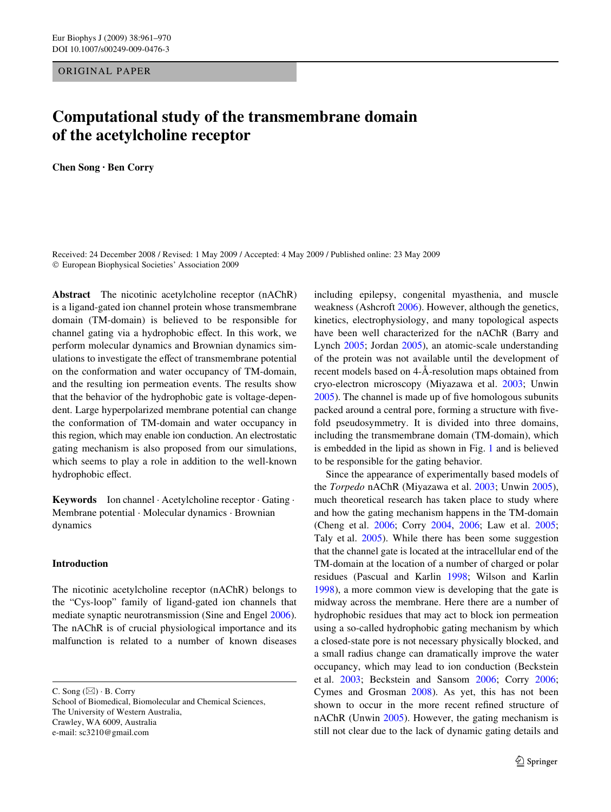ORIGINAL PAPER

# **Computational study of the transmembrane domain of the acetylcholine receptor**

**Chen Song · Ben Corry** 

Received: 24 December 2008 / Revised: 1 May 2009 / Accepted: 4 May 2009 / Published online: 23 May 2009 © European Biophysical Societies' Association 2009

**Abstract** The nicotinic acetylcholine receptor (nAChR) is a ligand-gated ion channel protein whose transmembrane domain (TM-domain) is believed to be responsible for channel gating via a hydrophobic effect. In this work, we perform molecular dynamics and Brownian dynamics simulations to investigate the effect of transmembrane potential on the conformation and water occupancy of TM-domain, and the resulting ion permeation events. The results show that the behavior of the hydrophobic gate is voltage-dependent. Large hyperpolarized membrane potential can change the conformation of TM-domain and water occupancy in this region, which may enable ion conduction. An electrostatic gating mechanism is also proposed from our simulations, which seems to play a role in addition to the well-known hydrophobic effect.

**Keywords** Ion channel · Acetylcholine receptor · Gating · Membrane potential · Molecular dynamics · Brownian dynamics

# **Introduction**

The nicotinic acetylcholine receptor (nAChR) belongs to the "Cys-loop" family of ligand-gated ion channels that mediate synaptic neurotransmission (Sine and Engel [2006](#page-9-0)). The nAChR is of crucial physiological importance and its malfunction is related to a number of known diseases

C. Song  $(\boxtimes) \cdot$  B. Corry

School of Biomedical, Biomolecular and Chemical Sciences, The University of Western Australia, Crawley, WA 6009, Australia e-mail: sc3210@gmail.com

including epilepsy, congenital myasthenia, and muscle weakness (Ashcroft [2006\)](#page-8-0). However, although the genetics, kinetics, electrophysiology, and many topological aspects have been well characterized for the nAChR (Barry and Lynch [2005](#page-8-1); Jordan [2005](#page-9-1)), an atomic-scale understanding of the protein was not available until the development of recent models based on 4-Å-resolution maps obtained from cryo-electron microscopy (Miyazawa et al. [2003;](#page-9-2) Unwin  $2005$ ). The channel is made up of five homologous subunits packed around a central pore, forming a structure with fivefold pseudosymmetry. It is divided into three domains, including the transmembrane domain (TM-domain), which is embedded in the lipid as shown in Fig. [1](#page-1-0) and is believed to be responsible for the gating behavior.

Since the appearance of experimentally based models of the *Torpedo* nAChR (Miyazawa et al. [2003](#page-9-2); Unwin [2005](#page-9-3)), much theoretical research has taken place to study where and how the gating mechanism happens in the TM-domain (Cheng et al. [2006](#page-8-2); Corry [2004](#page-8-3), [2006](#page-8-4); Law et al. [2005;](#page-9-4) Taly et al. [2005](#page-9-5)). While there has been some suggestion that the channel gate is located at the intracellular end of the TM-domain at the location of a number of charged or polar residues (Pascual and Karlin [1998;](#page-9-6) Wilson and Karlin [1998](#page-9-7)), a more common view is developing that the gate is midway across the membrane. Here there are a number of hydrophobic residues that may act to block ion permeation using a so-called hydrophobic gating mechanism by which a closed-state pore is not necessary physically blocked, and a small radius change can dramatically improve the water occupancy, which may lead to ion conduction (Beckstein et al. [2003](#page-8-5); Beckstein and Sansom [2006;](#page-8-6) Corry [2006;](#page-8-4) Cymes and Grosman [2008](#page-8-7)). As yet, this has not been shown to occur in the more recent refined structure of nAChR (Unwin [2005\)](#page-9-3). However, the gating mechanism is still not clear due to the lack of dynamic gating details and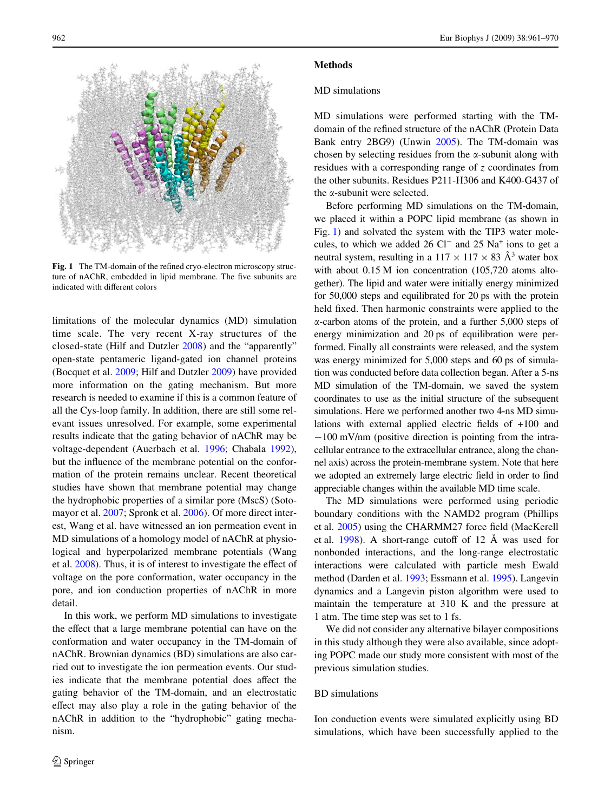

<span id="page-1-0"></span>Fig. 1 The TM-domain of the refined cryo-electron microscopy structure of nAChR, embedded in lipid membrane. The five subunits are indicated with different colors

limitations of the molecular dynamics (MD) simulation time scale. The very recent X-ray structures of the closed-state (Hilf and Dutzler [2008\)](#page-9-8) and the "apparently" open-state pentameric ligand-gated ion channel proteins (Bocquet et al. [2009](#page-8-8); Hilf and Dutzler [2009](#page-9-9)) have provided more information on the gating mechanism. But more research is needed to examine if this is a common feature of all the Cys-loop family. In addition, there are still some relevant issues unresolved. For example, some experimental results indicate that the gating behavior of nAChR may be voltage-dependent (Auerbach et al. [1996](#page-8-9); Chabala [1992](#page-8-10)), but the influence of the membrane potential on the conformation of the protein remains unclear. Recent theoretical studies have shown that membrane potential may change the hydrophobic properties of a similar pore (MscS) (Sotomayor et al. [2007;](#page-9-10) Spronk et al. [2006\)](#page-9-11). Of more direct interest, Wang et al. have witnessed an ion permeation event in MD simulations of a homology model of nAChR at physiological and hyperpolarized membrane potentials (Wang et al.  $2008$ ). Thus, it is of interest to investigate the effect of voltage on the pore conformation, water occupancy in the pore, and ion conduction properties of nAChR in more detail.

In this work, we perform MD simulations to investigate the effect that a large membrane potential can have on the conformation and water occupancy in the TM-domain of nAChR. Brownian dynamics (BD) simulations are also carried out to investigate the ion permeation events. Our studies indicate that the membrane potential does affect the gating behavior of the TM-domain, and an electrostatic effect may also play a role in the gating behavior of the nAChR in addition to the "hydrophobic" gating mechanism.

# **Methods**

### MD simulations

MD simulations were performed starting with the TMdomain of the refined structure of the nAChR (Protein Data Bank entry 2BG9) (Unwin [2005\)](#page-9-3). The TM-domain was chosen by selecting residues from the  $\alpha$ -subunit along with residues with a corresponding range of *z* coordinates from the other subunits. Residues P211-H306 and K400-G437 of the  $\alpha$ -subunit were selected.

Before performing MD simulations on the TM-domain, we placed it within a POPC lipid membrane (as shown in Fig. [1\)](#page-1-0) and solvated the system with the TIP3 water molecules, to which we added  $26 \text{ Cl}^-$  and  $25 \text{ Na}^+$  ions to get a neutral system, resulting in a  $117 \times 117 \times 83 \text{ Å}^3$  water box with about  $0.15$  M ion concentration (105,720 atoms altogether). The lipid and water were initially energy minimized for 50,000 steps and equilibrated for 20 ps with the protein held fixed. Then harmonic constraints were applied to the  $\alpha$ -carbon atoms of the protein, and a further 5,000 steps of energy minimization and 20 ps of equilibration were performed. Finally all constraints were released, and the system was energy minimized for 5,000 steps and 60 ps of simulation was conducted before data collection began. After a 5-ns MD simulation of the TM-domain, we saved the system coordinates to use as the initial structure of the subsequent simulations. Here we performed another two 4-ns MD simulations with external applied electric fields of  $+100$  and  $-100$  mV/nm (positive direction is pointing from the intracellular entrance to the extracellular entrance, along the channel axis) across the protein-membrane system. Note that here we adopted an extremely large electric field in order to find appreciable changes within the available MD time scale.

The MD simulations were performed using periodic boundary conditions with the NAMD2 program (Phillips et al. [2005\)](#page-9-13) using the CHARMM27 force field (MacKerell et al.  $1998$ ). A short-range cutoff of 12 Å was used for nonbonded interactions, and the long-range electrostatic interactions were calculated with particle mesh Ewald method (Darden et al. [1993](#page-8-11); Essmann et al. [1995\)](#page-8-12). Langevin dynamics and a Langevin piston algorithm were used to maintain the temperature at 310 K and the pressure at 1 atm. The time step was set to 1 fs.

We did not consider any alternative bilayer compositions in this study although they were also available, since adopting POPC made our study more consistent with most of the previous simulation studies.

# BD simulations

Ion conduction events were simulated explicitly using BD simulations, which have been successfully applied to the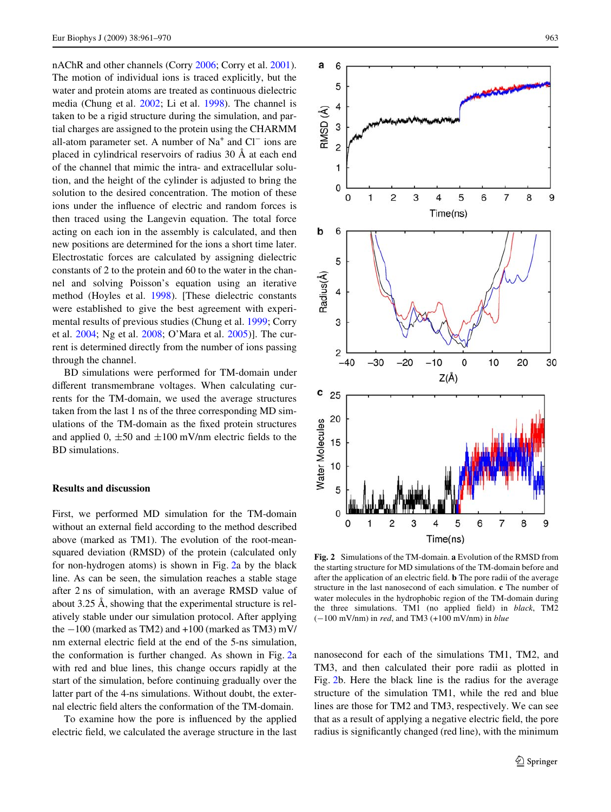nAChR and other channels (Corry [2006](#page-8-4); Corry et al. [2001](#page-8-13)). The motion of individual ions is traced explicitly, but the water and protein atoms are treated as continuous dielectric media (Chung et al. [2002](#page-8-14); Li et al. [1998\)](#page-9-15). The channel is taken to be a rigid structure during the simulation, and partial charges are assigned to the protein using the CHARMM all-atom parameter set. A number of  $Na<sup>+</sup>$  and  $Cl<sup>-</sup>$  ions are placed in cylindrical reservoirs of radius 30 Å at each end of the channel that mimic the intra- and extracellular solution, and the height of the cylinder is adjusted to bring the solution to the desired concentration. The motion of these ions under the influence of electric and random forces is then traced using the Langevin equation. The total force acting on each ion in the assembly is calculated, and then new positions are determined for the ions a short time later. Electrostatic forces are calculated by assigning dielectric constants of 2 to the protein and 60 to the water in the channel and solving Poisson's equation using an iterative method (Hoyles et al. [1998\)](#page-9-16). [These dielectric constants were established to give the best agreement with experimental results of previous studies (Chung et al. [1999;](#page-8-15) Corry et al. [2004;](#page-8-16) Ng et al. [2008](#page-9-17); O'Mara et al. [2005\)](#page-9-18)]. The current is determined directly from the number of ions passing through the channel.

BD simulations were performed for TM-domain under different transmembrane voltages. When calculating currents for the TM-domain, we used the average structures taken from the last 1 ns of the three corresponding MD simulations of the TM-domain as the fixed protein structures and applied 0,  $\pm 50$  and  $\pm 100$  mV/nm electric fields to the BD simulations.

#### **Results and discussion**

First, we performed MD simulation for the TM-domain without an external field according to the method described above (marked as TM1). The evolution of the root-meansquared deviation (RMSD) of the protein (calculated only for non-hydrogen atoms) is shown in Fig. [2](#page-2-0)a by the black line. As can be seen, the simulation reaches a stable stage after 2 ns of simulation, with an average RMSD value of about 3.25 Å, showing that the experimental structure is relatively stable under our simulation protocol. After applying the  $-100$  (marked as TM2) and  $+100$  (marked as TM3) mV/ nm external electric field at the end of the 5-ns simulation, the conformation is further changed. As shown in Fig. [2a](#page-2-0) with red and blue lines, this change occurs rapidly at the start of the simulation, before continuing gradually over the latter part of the 4-ns simulations. Without doubt, the external electric field alters the conformation of the TM-domain.

To examine how the pore is influenced by the applied electric field, we calculated the average structure in the last



<span id="page-2-0"></span>**Fig. 2** Simulations of the TM-domain. **a** Evolution of the RMSD from the starting structure for MD simulations of the TM-domain before and after the application of an electric field. **b** The pore radii of the average structure in the last nanosecond of each simulation. **c** The number of water molecules in the hydrophobic region of the TM-domain during the three simulations. TM1 (no applied field) in *black*, TM2  $(-100 \text{ mV/nm})$  in *red*, and TM3  $(+100 \text{ mV/nm})$  in *blue* 

nanosecond for each of the simulations TM1, TM2, and TM3, and then calculated their pore radii as plotted in Fig. [2b](#page-2-0). Here the black line is the radius for the average structure of the simulation TM1, while the red and blue lines are those for TM2 and TM3, respectively. We can see that as a result of applying a negative electric field, the pore radius is significantly changed (red line), with the minimum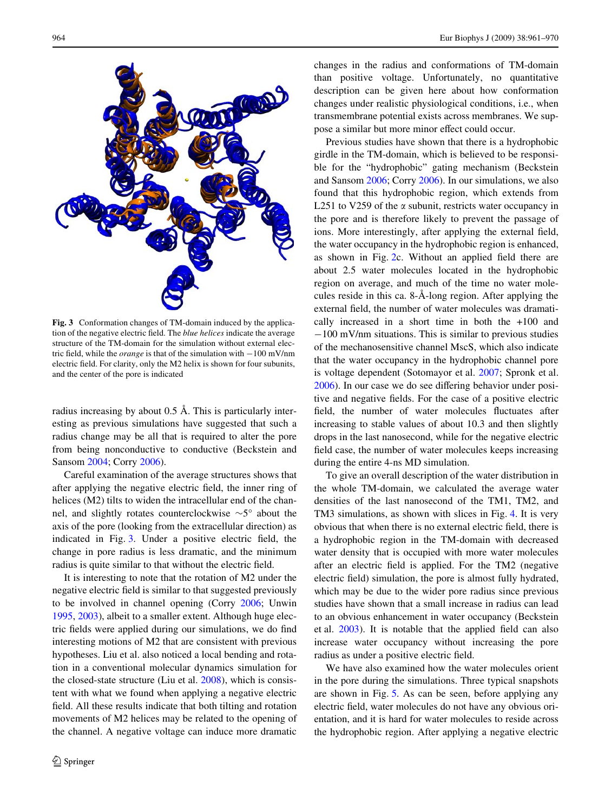

<span id="page-3-0"></span>**Fig. 3** Conformation changes of TM-domain induced by the application of the negative electric field. The *blue helices* indicate the average structure of the TM-domain for the simulation without external electric field, while the *orange* is that of the simulation with  $-100$  mV/nm electric field. For clarity, only the M2 helix is shown for four subunits, and the center of the pore is indicated

radius increasing by about 0.5 Å. This is particularly interesting as previous simulations have suggested that such a radius change may be all that is required to alter the pore from being nonconductive to conductive (Beckstein and Sansom [2004](#page-8-17); Corry [2006](#page-8-4)).

Careful examination of the average structures shows that after applying the negative electric field, the inner ring of helices (M2) tilts to widen the intracellular end of the channel, and slightly rotates counterclockwise  $\sim 5^{\circ}$  about the axis of the pore (looking from the extracellular direction) as indicated in Fig. [3.](#page-3-0) Under a positive electric field, the change in pore radius is less dramatic, and the minimum radius is quite similar to that without the electric field.

It is interesting to note that the rotation of M2 under the negative electric field is similar to that suggested previously to be involved in channel opening (Corry [2006](#page-8-4); Unwin [1995](#page-9-19), [2003\)](#page-9-20), albeit to a smaller extent. Although huge electric fields were applied during our simulations, we do find interesting motions of M2 that are consistent with previous hypotheses. Liu et al. also noticed a local bending and rotation in a conventional molecular dynamics simulation for the closed-state structure (Liu et al. [2008\)](#page-9-21), which is consistent with what we found when applying a negative electric field. All these results indicate that both tilting and rotation movements of M2 helices may be related to the opening of the channel. A negative voltage can induce more dramatic changes in the radius and conformations of TM-domain than positive voltage. Unfortunately, no quantitative description can be given here about how conformation changes under realistic physiological conditions, i.e., when transmembrane potential exists across membranes. We suppose a similar but more minor effect could occur.

Previous studies have shown that there is a hydrophobic girdle in the TM-domain, which is believed to be responsible for the "hydrophobic" gating mechanism (Beckstein and Sansom [2006](#page-8-6); Corry [2006](#page-8-4)). In our simulations, we also found that this hydrophobic region, which extends from L251 to V259 of the  $\alpha$  subunit, restricts water occupancy in the pore and is therefore likely to prevent the passage of ions. More interestingly, after applying the external field, the water occupancy in the hydrophobic region is enhanced, as shown in Fig.  $2c$  $2c$ . Without an applied field there are about 2.5 water molecules located in the hydrophobic region on average, and much of the time no water molecules reside in this ca. 8-Å-long region. After applying the external field, the number of water molecules was dramatically increased in a short time in both the +100 and  $-100$  mV/nm situations. This is similar to previous studies of the mechanosensitive channel MscS, which also indicate that the water occupancy in the hydrophobic channel pore is voltage dependent (Sotomayor et al. [2007;](#page-9-10) Spronk et al.  $2006$ ). In our case we do see differing behavior under positive and negative fields. For the case of a positive electric field, the number of water molecules fluctuates after increasing to stable values of about 10.3 and then slightly drops in the last nanosecond, while for the negative electric field case, the number of water molecules keeps increasing during the entire 4-ns MD simulation.

To give an overall description of the water distribution in the whole TM-domain, we calculated the average water densities of the last nanosecond of the TM1, TM2, and TM3 simulations, as shown with slices in Fig. [4.](#page-4-0) It is very obvious that when there is no external electric field, there is a hydrophobic region in the TM-domain with decreased water density that is occupied with more water molecules after an electric field is applied. For the TM2 (negative electric field) simulation, the pore is almost fully hydrated, which may be due to the wider pore radius since previous studies have shown that a small increase in radius can lead to an obvious enhancement in water occupancy (Beckstein et al.  $2003$ ). It is notable that the applied field can also increase water occupancy without increasing the pore radius as under a positive electric field.

We have also examined how the water molecules orient in the pore during the simulations. Three typical snapshots are shown in Fig. [5.](#page-4-1) As can be seen, before applying any electric field, water molecules do not have any obvious orientation, and it is hard for water molecules to reside across the hydrophobic region. After applying a negative electric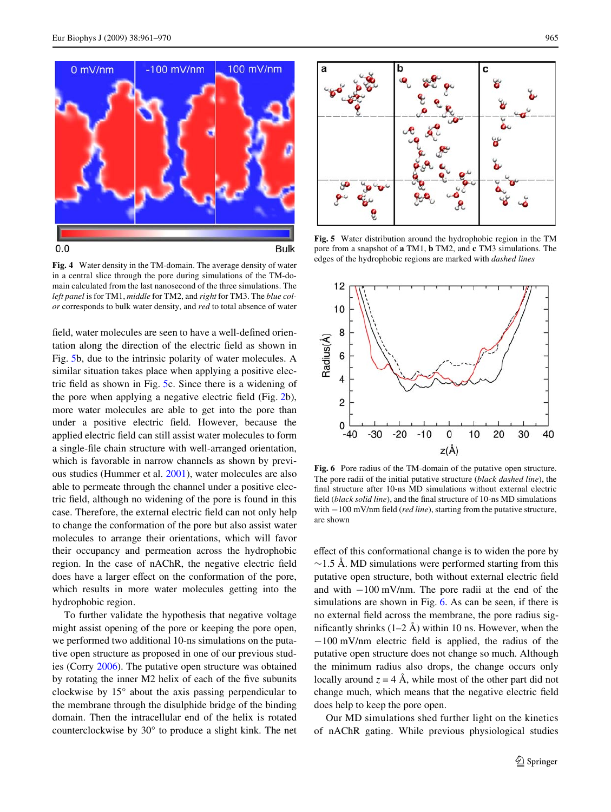

<span id="page-4-0"></span>**Fig. 4** Water density in the TM-domain. The average density of water in a central slice through the pore during simulations of the TM-domain calculated from the last nanosecond of the three simulations. The *left panel* is for TM1, *middle* for TM2, and *right* for TM3. The *blue color* corresponds to bulk water density, and *red* to total absence of water

field, water molecules are seen to have a well-defined orientation along the direction of the electric field as shown in Fig. [5](#page-4-1)b, due to the intrinsic polarity of water molecules. A similar situation takes place when applying a positive elec-tric field as shown in Fig. [5c](#page-4-1). Since there is a widening of the pore when applying a negative electric field (Fig.  $2b$  $2b$ ), more water molecules are able to get into the pore than under a positive electric field. However, because the applied electric field can still assist water molecules to form a single-file chain structure with well-arranged orientation, which is favorable in narrow channels as shown by previous studies (Hummer et al. [2001\)](#page-9-22), water molecules are also able to permeate through the channel under a positive electric field, although no widening of the pore is found in this case. Therefore, the external electric field can not only help to change the conformation of the pore but also assist water molecules to arrange their orientations, which will favor their occupancy and permeation across the hydrophobic region. In the case of nAChR, the negative electric field does have a larger effect on the conformation of the pore, which results in more water molecules getting into the hydrophobic region.

To further validate the hypothesis that negative voltage might assist opening of the pore or keeping the pore open, we performed two additional 10-ns simulations on the putative open structure as proposed in one of our previous studies (Corry [2006](#page-8-4)). The putative open structure was obtained by rotating the inner M2 helix of each of the five subunits clockwise by 15° about the axis passing perpendicular to the membrane through the disulphide bridge of the binding domain. Then the intracellular end of the helix is rotated counterclockwise by 30° to produce a slight kink. The net



<span id="page-4-1"></span>**Fig. 5** Water distribution around the hydrophobic region in the TM pore from a snapshot of **a** TM1, **b** TM2, and **c** TM3 simulations. The edges of the hydrophobic regions are marked with *dashed lines*



<span id="page-4-2"></span>**Fig. 6** Pore radius of the TM-domain of the putative open structure. The pore radii of the initial putative structure (*black dashed line*), the final structure after 10-ns MD simulations without external electric field (*black solid line*), and the final structure of 10-ns MD simulations with  $-100$  mV/nm field (*red line*), starting from the putative structure, are shown

effect of this conformational change is to widen the pore by  $\sim$ 1.5 Å. MD simulations were performed starting from this putative open structure, both without external electric field and with  $-100$  mV/nm. The pore radii at the end of the simulations are shown in Fig. [6.](#page-4-2) As can be seen, if there is no external field across the membrane, the pore radius significantly shrinks  $(1-2 \text{ Å})$  within 10 ns. However, when the  $-100$  mV/nm electric field is applied, the radius of the putative open structure does not change so much. Although the minimum radius also drops, the change occurs only locally around  $z = 4$  Å, while most of the other part did not change much, which means that the negative electric field does help to keep the pore open.

Our MD simulations shed further light on the kinetics of nAChR gating. While previous physiological studies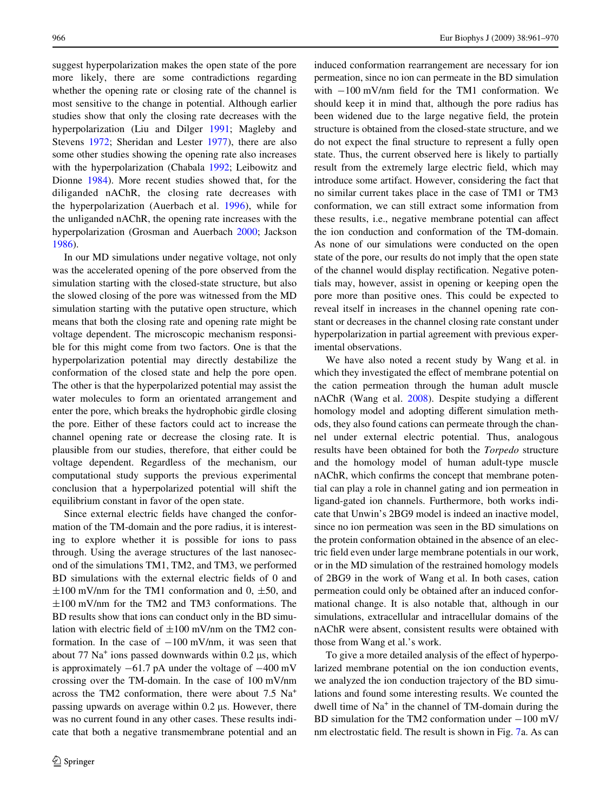suggest hyperpolarization makes the open state of the pore more likely, there are some contradictions regarding whether the opening rate or closing rate of the channel is most sensitive to the change in potential. Although earlier studies show that only the closing rate decreases with the hyperpolarization (Liu and Dilger [1991;](#page-9-23) Magleby and Stevens [1972;](#page-9-24) Sheridan and Lester [1977\)](#page-9-25), there are also some other studies showing the opening rate also increases with the hyperpolarization (Chabala [1992](#page-8-10); Leibowitz and Dionne [1984](#page-9-26)). More recent studies showed that, for the diliganded nAChR, the closing rate decreases with the hyperpolarization (Auerbach et al. [1996\)](#page-8-9), while for the unliganded nAChR, the opening rate increases with the hyperpolarization (Grosman and Auerbach [2000;](#page-9-27) Jackson [1986](#page-9-28)).

In our MD simulations under negative voltage, not only was the accelerated opening of the pore observed from the simulation starting with the closed-state structure, but also the slowed closing of the pore was witnessed from the MD simulation starting with the putative open structure, which means that both the closing rate and opening rate might be voltage dependent. The microscopic mechanism responsible for this might come from two factors. One is that the hyperpolarization potential may directly destabilize the conformation of the closed state and help the pore open. The other is that the hyperpolarized potential may assist the water molecules to form an orientated arrangement and enter the pore, which breaks the hydrophobic girdle closing the pore. Either of these factors could act to increase the channel opening rate or decrease the closing rate. It is plausible from our studies, therefore, that either could be voltage dependent. Regardless of the mechanism, our computational study supports the previous experimental conclusion that a hyperpolarized potential will shift the equilibrium constant in favor of the open state.

Since external electric fields have changed the conformation of the TM-domain and the pore radius, it is interesting to explore whether it is possible for ions to pass through. Using the average structures of the last nanosecond of the simulations TM1, TM2, and TM3, we performed BD simulations with the external electric fields of 0 and  $\pm 100$  mV/nm for the TM1 conformation and 0,  $\pm 50$ , and  $\pm 100$  mV/nm for the TM2 and TM3 conformations. The BD results show that ions can conduct only in the BD simulation with electric field of  $\pm 100$  mV/nm on the TM2 conformation. In the case of  $-100$  mV/nm, it was seen that about  $77 \text{ Na}^+$  ions passed downwards within 0.2  $\mu$ s, which is approximately  $-61.7$  pA under the voltage of  $-400$  mV crossing over the TM-domain. In the case of 100 mV/nm across the TM2 conformation, there were about 7.5 Na<sup>+</sup> passing upwards on average within  $0.2 \mu s$ . However, there was no current found in any other cases. These results indicate that both a negative transmembrane potential and an induced conformation rearrangement are necessary for ion permeation, since no ion can permeate in the BD simulation with  $-100$  mV/nm field for the TM1 conformation. We should keep it in mind that, although the pore radius has been widened due to the large negative field, the protein structure is obtained from the closed-state structure, and we do not expect the final structure to represent a fully open state. Thus, the current observed here is likely to partially result from the extremely large electric field, which may introduce some artifact. However, considering the fact that no similar current takes place in the case of TM1 or TM3 conformation, we can still extract some information from these results, i.e., negative membrane potential can affect the ion conduction and conformation of the TM-domain. As none of our simulations were conducted on the open state of the pore, our results do not imply that the open state of the channel would display rectification. Negative potentials may, however, assist in opening or keeping open the pore more than positive ones. This could be expected to reveal itself in increases in the channel opening rate constant or decreases in the channel closing rate constant under hyperpolarization in partial agreement with previous experimental observations.

We have also noted a recent study by Wang et al. in which they investigated the effect of membrane potential on the cation permeation through the human adult muscle nAChR (Wang et al. [2008](#page-9-12)). Despite studying a different homology model and adopting different simulation methods, they also found cations can permeate through the channel under external electric potential. Thus, analogous results have been obtained for both the *Torpedo* structure and the homology model of human adult-type muscle nAChR, which confirms the concept that membrane potential can play a role in channel gating and ion permeation in ligand-gated ion channels. Furthermore, both works indicate that Unwin's 2BG9 model is indeed an inactive model, since no ion permeation was seen in the BD simulations on the protein conformation obtained in the absence of an electric field even under large membrane potentials in our work, or in the MD simulation of the restrained homology models of 2BG9 in the work of Wang et al. In both cases, cation permeation could only be obtained after an induced conformational change. It is also notable that, although in our simulations, extracellular and intracellular domains of the nAChR were absent, consistent results were obtained with those from Wang et al.'s work.

To give a more detailed analysis of the effect of hyperpolarized membrane potential on the ion conduction events, we analyzed the ion conduction trajectory of the BD simulations and found some interesting results. We counted the dwell time of Na<sup>+</sup> in the channel of TM-domain during the BD simulation for the TM2 conformation under  $-100$  mV/ nm electrostatic field. The result is shown in Fig. [7a](#page-6-0). As can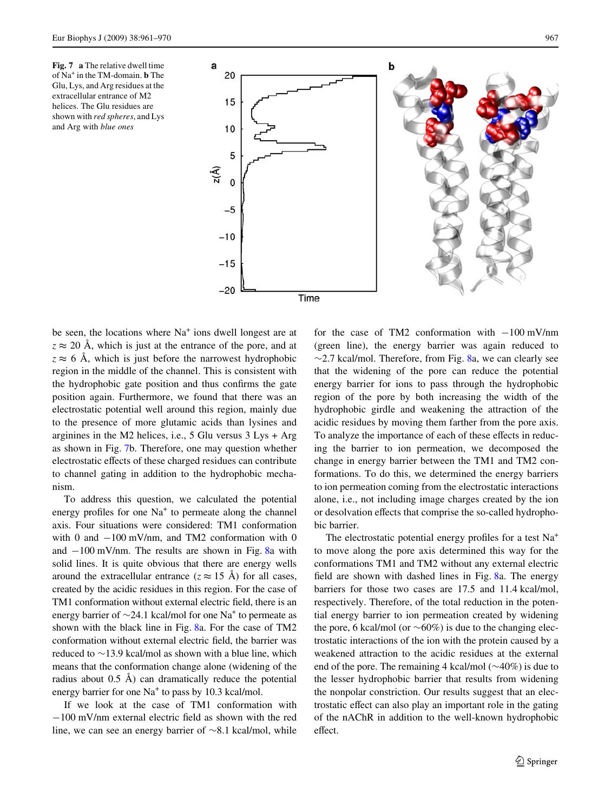<span id="page-6-0"></span>



be seen, the locations where  $Na<sup>+</sup>$  ions dwell longest are at  $z \approx 20$  Å, which is just at the entrance of the pore, and at  $z \approx 6$  Å, which is just before the narrowest hydrophobic region in the middle of the channel. This is consistent with the hydrophobic gate position and thus confirms the gate position again. Furthermore, we found that there was an electrostatic potential well around this region, mainly due to the presence of more glutamic acids than lysines and arginines in the M2 helices, i.e., 5 Glu versus 3 Lys + Arg as shown in Fig. [7](#page-6-0)b. Therefore, one may question whether electrostatic effects of these charged residues can contribute to channel gating in addition to the hydrophobic mechanism.

To address this question, we calculated the potential energy profiles for one  $Na<sup>+</sup>$  to permeate along the channel axis. Four situations were considered: TM1 conformation with 0 and  $-100$  mV/nm, and TM2 conformation with 0 and  $-100$  mV/nm. The results are shown in Fig. [8a](#page-7-0) with solid lines. It is quite obvious that there are energy wells around the extracellular entrance ( $z \approx 15$  Å) for all cases, created by the acidic residues in this region. For the case of TM1 conformation without external electric field, there is an energy barrier of  $\sim$ 24.1 kcal/mol for one Na<sup>+</sup> to permeate as shown with the black line in Fig. [8](#page-7-0)a. For the case of TM2 conformation without external electric field, the barrier was reduced to  $\sim$ 13.9 kcal/mol as shown with a blue line, which means that the conformation change alone (widening of the radius about 0.5 Å) can dramatically reduce the potential energy barrier for one  $Na<sup>+</sup>$  to pass by 10.3 kcal/mol.

If we look at the case of TM1 conformation with  $-100$  mV/nm external electric field as shown with the red line, we can see an energy barrier of  $\sim 8.1$  kcal/mol, while for the case of TM2 conformation with  $-100$  mV/nm (green line), the energy barrier was again reduced to  $\sim$ 2.7 kcal/mol. Therefore, from Fig. [8a](#page-7-0), we can clearly see that the widening of the pore can reduce the potential energy barrier for ions to pass through the hydrophobic region of the pore by both increasing the width of the hydrophobic girdle and weakening the attraction of the acidic residues by moving them farther from the pore axis. To analyze the importance of each of these effects in reducing the barrier to ion permeation, we decomposed the change in energy barrier between the TM1 and TM2 conformations. To do this, we determined the energy barriers to ion permeation coming from the electrostatic interactions alone, i.e., not including image charges created by the ion or desolvation effects that comprise the so-called hydrophobic barrier.

The electrostatic potential energy profiles for a test  $Na<sup>+</sup>$ to move along the pore axis determined this way for the conformations TM1 and TM2 without any external electric field are shown with dashed lines in Fig.  $8a$  $8a$ . The energy barriers for those two cases are 17.5 and 11.4 kcal/mol, respectively. Therefore, of the total reduction in the potential energy barrier to ion permeation created by widening the pore, 6 kcal/mol (or  $\sim 60\%$ ) is due to the changing electrostatic interactions of the ion with the protein caused by a weakened attraction to the acidic residues at the external end of the pore. The remaining 4 kcal/mol  $(\sim 40\%)$  is due to the lesser hydrophobic barrier that results from widening the nonpolar constriction. Our results suggest that an electrostatic effect can also play an important role in the gating of the nAChR in addition to the well-known hydrophobic effect.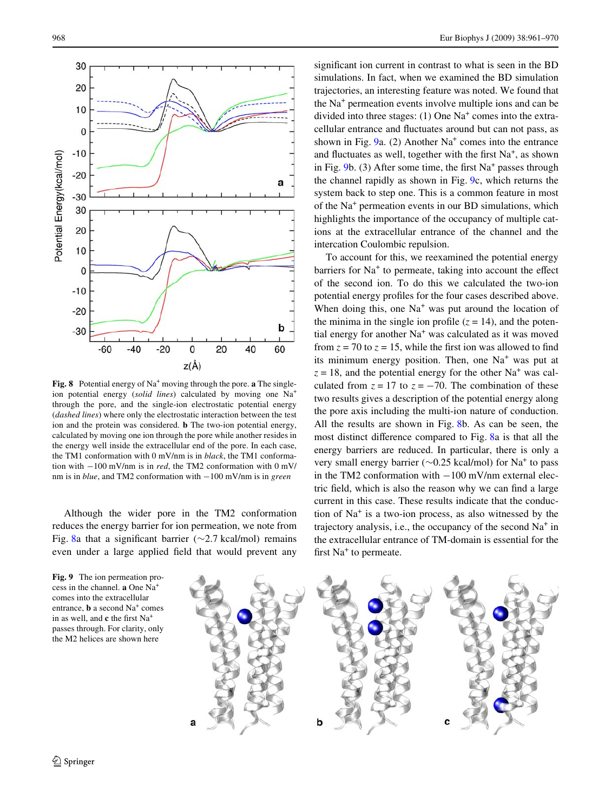

<span id="page-7-0"></span>**Fig. 8** Potential energy of  $Na^+$  moving through the pore. **a** The singleion potential energy (*solid lines*) calculated by moving one Na+ through the pore, and the single-ion electrostatic potential energy (*dashed lines*) where only the electrostatic interaction between the test ion and the protein was considered. **b** The two-ion potential energy, calculated by moving one ion through the pore while another resides in the energy well inside the extracellular end of the pore. In each case, the TM1 conformation with 0 mV/nm is in *black*, the TM1 conformation with  $-100$  mV/nm is in *red*, the TM2 conformation with  $0$  mV/ nm is in *blue*, and TM2 conformation with  $-100$  mV/nm is in *green* 

Although the wider pore in the TM2 conformation reduces the energy barrier for ion permeation, we note from Fig. [8](#page-7-0)a that a significant barrier ( $\sim$ 2.7 kcal/mol) remains even under a large applied field that would prevent any

<span id="page-7-1"></span>**Fig. 9** The ion permeation process in the channel. **a** One Na<sup>+</sup> comes into the extracellular entrance, **b** a second Na<sup>+</sup> comes in as well, and **c** the first Na<sup>+</sup> passes through. For clarity, only the M2 helices are shown here

significant ion current in contrast to what is seen in the BD simulations. In fact, when we examined the BD simulation trajectories, an interesting feature was noted. We found that the Na<sup>+</sup> permeation events involve multiple ions and can be divided into three stages:  $(1)$  One Na<sup>+</sup> comes into the extracellular entrance and fluctuates around but can not pass, as shown in Fig. [9](#page-7-1)a. (2) Another Na<sup>+</sup> comes into the entrance and fluctuates as well, together with the first  $Na<sup>+</sup>$ , as shown in Fig. [9b](#page-7-1). (3) After some time, the first  $Na<sup>+</sup>$  passes through the channel rapidly as shown in Fig. [9](#page-7-1)c, which returns the system back to step one. This is a common feature in most of the Na<sup>+</sup> permeation events in our BD simulations, which highlights the importance of the occupancy of multiple cations at the extracellular entrance of the channel and the intercation Coulombic repulsion.

To account for this, we reexamined the potential energy barriers for  $Na<sup>+</sup>$  to permeate, taking into account the effect of the second ion. To do this we calculated the two-ion potential energy profiles for the four cases described above. When doing this, one  $Na<sup>+</sup>$  was put around the location of the minima in the single ion profile  $(z = 14)$ , and the potential energy for another Na<sup>+</sup> was calculated as it was moved from  $z = 70$  to  $z = 15$ , while the first ion was allowed to find its minimum energy position. Then, one Na<sup>+</sup> was put at  $z = 18$ , and the potential energy for the other Na<sup>+</sup> was calculated from  $z = 17$  to  $z = -70$ . The combination of these two results gives a description of the potential energy along the pore axis including the multi-ion nature of conduction. All the results are shown in Fig. [8](#page-7-0)b. As can be seen, the most distinct difference compared to Fig. [8](#page-7-0)a is that all the energy barriers are reduced. In particular, there is only a very small energy barrier ( $\sim$ 0.25 kcal/mol) for Na<sup>+</sup> to pass in the TM2 conformation with  $-100$  mV/nm external electric field, which is also the reason why we can find a large current in this case. These results indicate that the conduction of Na<sup>+</sup> is a two-ion process, as also witnessed by the trajectory analysis, i.e., the occupancy of the second Na<sup>+</sup> in the extracellular entrance of TM-domain is essential for the first Na<sup>+</sup> to permeate.

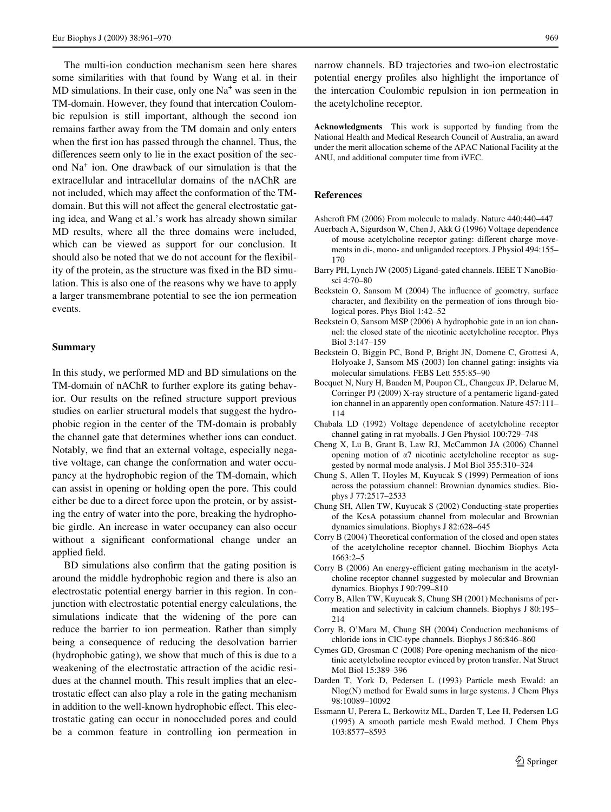The multi-ion conduction mechanism seen here shares some similarities with that found by Wang et al. in their MD simulations. In their case, only one Na<sup>+</sup> was seen in the TM-domain. However, they found that intercation Coulombic repulsion is still important, although the second ion remains farther away from the TM domain and only enters when the first ion has passed through the channel. Thus, the differences seem only to lie in the exact position of the second Na<sup>+</sup> ion. One drawback of our simulation is that the extracellular and intracellular domains of the nAChR are not included, which may affect the conformation of the TMdomain. But this will not affect the general electrostatic gating idea, and Wang et al.'s work has already shown similar MD results, where all the three domains were included, which can be viewed as support for our conclusion. It should also be noted that we do not account for the flexibility of the protein, as the structure was fixed in the BD simulation. This is also one of the reasons why we have to apply a larger transmembrane potential to see the ion permeation events.

#### **Summary**

In this study, we performed MD and BD simulations on the TM-domain of nAChR to further explore its gating behavior. Our results on the refined structure support previous studies on earlier structural models that suggest the hydrophobic region in the center of the TM-domain is probably the channel gate that determines whether ions can conduct. Notably, we find that an external voltage, especially negative voltage, can change the conformation and water occupancy at the hydrophobic region of the TM-domain, which can assist in opening or holding open the pore. This could either be due to a direct force upon the protein, or by assisting the entry of water into the pore, breaking the hydrophobic girdle. An increase in water occupancy can also occur without a significant conformational change under an applied field.

BD simulations also confirm that the gating position is around the middle hydrophobic region and there is also an electrostatic potential energy barrier in this region. In conjunction with electrostatic potential energy calculations, the simulations indicate that the widening of the pore can reduce the barrier to ion permeation. Rather than simply being a consequence of reducing the desolvation barrier (hydrophobic gating), we show that much of this is due to a weakening of the electrostatic attraction of the acidic residues at the channel mouth. This result implies that an electrostatic effect can also play a role in the gating mechanism in addition to the well-known hydrophobic effect. This electrostatic gating can occur in nonoccluded pores and could be a common feature in controlling ion permeation in narrow channels. BD trajectories and two-ion electrostatic potential energy profiles also highlight the importance of the intercation Coulombic repulsion in ion permeation in the acetylcholine receptor.

**Acknowledgments** This work is supported by funding from the National Health and Medical Research Council of Australia, an award under the merit allocation scheme of the APAC National Facility at the ANU, and additional computer time from iVEC.

### **References**

- <span id="page-8-0"></span>Ashcroft FM (2006) From molecule to malady. Nature 440:440–447
- <span id="page-8-9"></span>Auerbach A, Sigurdson W, Chen J, Akk G (1996) Voltage dependence of mouse acetylcholine receptor gating: different charge movements in di-, mono- and unliganded receptors. J Physiol 494:155– 170
- <span id="page-8-1"></span>Barry PH, Lynch JW (2005) Ligand-gated channels. IEEE T NanoBiosci 4:70–80
- <span id="page-8-17"></span>Beckstein O, Sansom M (2004) The influence of geometry, surface character, and flexibility on the permeation of ions through biological pores. Phys Biol 1:42–52
- <span id="page-8-6"></span>Beckstein O, Sansom MSP (2006) A hydrophobic gate in an ion channel: the closed state of the nicotinic acetylcholine receptor. Phys Biol 3:147–159
- <span id="page-8-5"></span>Beckstein O, Biggin PC, Bond P, Bright JN, Domene C, Grottesi A, Holyoake J, Sansom MS (2003) Ion channel gating: insights via molecular simulations. FEBS Lett 555:85–90
- <span id="page-8-8"></span>Bocquet N, Nury H, Baaden M, Poupon CL, Changeux JP, Delarue M, Corringer PJ (2009) X-ray structure of a pentameric ligand-gated ion channel in an apparently open conformation. Nature 457:111– 114
- <span id="page-8-10"></span>Chabala LD (1992) Voltage dependence of acetylcholine receptor channel gating in rat myoballs. J Gen Physiol 100:729–748
- <span id="page-8-2"></span>Cheng X, Lu B, Grant B, Law RJ, McCammon JA (2006) Channel opening motion of  $\alpha$ 7 nicotinic acetylcholine receptor as suggested by normal mode analysis. J Mol Biol 355:310–324
- <span id="page-8-15"></span>Chung S, Allen T, Hoyles M, Kuyucak S (1999) Permeation of ions across the potassium channel: Brownian dynamics studies. Biophys J 77:2517–2533
- <span id="page-8-14"></span>Chung SH, Allen TW, Kuyucak S (2002) Conducting-state properties of the KcsA potassium channel from molecular and Brownian dynamics simulations. Biophys J 82:628–645
- <span id="page-8-3"></span>Corry B (2004) Theoretical conformation of the closed and open states of the acetylcholine receptor channel. Biochim Biophys Acta 1663:2–5
- <span id="page-8-4"></span>Corry B (2006) An energy-efficient gating mechanism in the acetylcholine receptor channel suggested by molecular and Brownian dynamics. Biophys J 90:799–810
- <span id="page-8-13"></span>Corry B, Allen TW, Kuyucak S, Chung SH (2001) Mechanisms of permeation and selectivity in calcium channels. Biophys J 80:195– 214
- <span id="page-8-16"></span>Corry B, O'Mara M, Chung SH (2004) Conduction mechanisms of chloride ions in ClC-type channels. Biophys J 86:846–860
- <span id="page-8-7"></span>Cymes GD, Grosman C (2008) Pore-opening mechanism of the nicotinic acetylcholine receptor evinced by proton transfer. Nat Struct Mol Biol 15:389–396
- <span id="page-8-11"></span>Darden T, York D, Pedersen L (1993) Particle mesh Ewald: an Nlog(N) method for Ewald sums in large systems. J Chem Phys 98:10089–10092
- <span id="page-8-12"></span>Essmann U, Perera L, Berkowitz ML, Darden T, Lee H, Pedersen LG (1995) A smooth particle mesh Ewald method. J Chem Phys 103:8577–8593